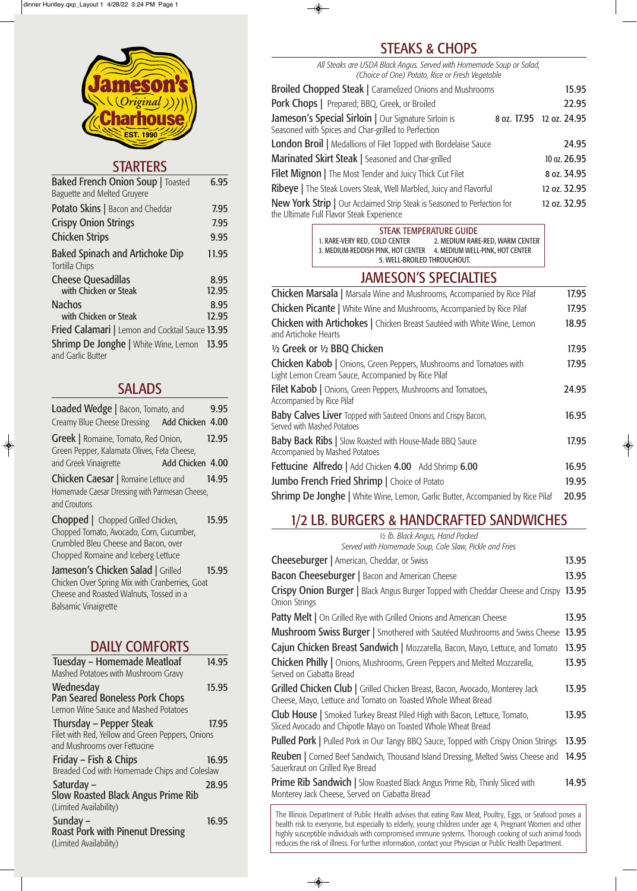| <b>Baked French Onion Soup   Toasted</b><br><b>Baguette and Melted Gruyere</b> | 6.95          |
|--------------------------------------------------------------------------------|---------------|
| <b>Potato Skins</b>   Bacon and Cheddar                                        | 7.95          |
| <b>Crispy Onion Strings</b>                                                    | 7.95          |
| <b>Chicken Strips</b>                                                          | 9.95          |
| <b>Baked Spinach and Artichoke Dip</b><br>Tortilla Chips                       | 11.95         |
| <b>Cheese Quesadillas</b><br>with Chicken or Steak                             | 8.95<br>12.95 |
| <b>Nachos</b>                                                                  | 8.95          |
| with Chicken or Steak                                                          | 12.95         |
| Fried Calamari   Lemon and Cocktail Sauce 13.95                                |               |
| <b>Shrimp De Jonghe</b>   White Wine, Lemon 13.95<br>and Garlic Butter         |               |

## SALADS

Friday – Fish & Chips 16.95 Breaded Cod with Homemade Chips and Coleslaw

| <b>Loaded Wedge</b>   Bacon, Tomato, and<br>Creamy Blue Cheese Dressing Add Chicken 4.00                                                                      | 9.95                      |
|---------------------------------------------------------------------------------------------------------------------------------------------------------------|---------------------------|
| <b>Greek</b>   Romaine, Tomato, Red Onion,<br>Green Pepper, Kalamata Olives, Feta Cheese,<br>and Greek Vinaigrette                                            | 12.95<br>Add Chicken 4.00 |
| <b>Chicken Caesar</b>   Romaine Lettuce and<br>Homemade Caesar Dressing with Parmesan Cheese,<br>and Croutons                                                 | 14.95                     |
| Chopped   Chopped Grilled Chicken,<br>Chopped Tomato, Avocado, Corn, Cucumber,<br>Crumbled Bleu Cheese and Bacon, over<br>Chopped Romaine and Iceberg Lettuce | 15.95                     |
| Jameson's Chicken Salad   Grilled<br>Chicken Over Spring Mix with Cranberries, Goat<br>Cheese and Roasted Walnuts, Tossed in a                                | 15.95                     |

Balsamic Vinaigrette

 $\bigcirc$ 

# DAILY COMFORTS

| Tuesday - Homemade Meatloaf<br>Mashed Potatoes with Mushroom Gravy | 14.95 |
|--------------------------------------------------------------------|-------|
| Wednesday<br>Pan Seared Boneless Pork Chops                        | 15.95 |

Lemon Wine Sauce and Mashed Potatoes

Thursday – Pepper Steak 17.95 Filet with Red, Yellow and Green Peppers, Onions and Mushrooms over Fettucine

Saturday – 28.95 Slow Roasted Black Angus Prime Rib (Limited Availability)

Sunday – 16.95 Roast Pork with Pinenut Dressing (Limited Availability)

# STEAKS & CHOPS

◈

*All Steaks are USDA Black Angus. Served with Homemade Soup or Salad, (Choice of One) Potato, Rice or Fresh Vegetable*

| Broiled Chopped Steak   Caramelized Onions and Mushrooms                                                              | 15.95                    |
|-----------------------------------------------------------------------------------------------------------------------|--------------------------|
| Pork Chops   Prepared; BBQ, Greek, or Broiled                                                                         | 22.95                    |
| Jameson's Special Sirloin   Our Signature Sirloin is<br>Seasoned with Spices and Char-grilled to Perfection           | 8 oz. 17.95 12 oz. 24.95 |
| <b>London Broil</b>   Medallions of Filet Topped with Bordelaise Sauce                                                | 24.95                    |
| Marinated Skirt Steak   Seasoned and Char-grilled                                                                     | 10 oz. 26.95             |
| Filet Mignon   The Most Tender and Juicy Thick Cut Filet                                                              | 8 oz. 34.95              |
| Ribeye   The Steak Lovers Steak, Well Marbled, Juicy and Flavorful                                                    | 12 oz. 32.95             |
| New York Strip   Our Acclaimed Strip Steak is Seasoned to Perfection for<br>the Ultimate Full Flavor Steak Experience | 12 oz. 32.95             |

Club House | Smoked Turkey Breast Piled High with Bacon, Lettuce, Tomato, 13.95 Sliced Avocado and Chipotle Mayo on Toasted Whole Wheat Bread

**Pulled Pork** | Pulled Pork in Our Tangy BBQ Sauce, Topped with Crispy Onion Strings 13.95 Reuben | Corned Beef Sandwich, Thousand Island Dressing, Melted Swiss Cheese and 14.95 Sauerkraut on Grilled Rye Bread

**Prime Rib Sandwich | Slow Roasted Black Angus Prime Rib, Thinly Sliced with** 14.95 Monterey Jack Cheese, Served on Ciabatta Bread

# JAMESON'S SPECIALTIES

| <b>Chicken Marsala</b>   Marsala Wine and Mushrooms, Accompanied by Rice Pilaf                                                  | 17.95 |
|---------------------------------------------------------------------------------------------------------------------------------|-------|
| <b>Chicken Picante</b>   White Wine and Mushrooms, Accompanied by Rice Pilaf                                                    | 17.95 |
| Chicken with Artichokes   Chicken Breast Sautéed with White Wine, Lemon<br>and Artichoke Hearts                                 | 18.95 |
| 1/2 Greek or 1/2 BBQ Chicken                                                                                                    | 17.95 |
| <b>Chicken Kabob</b>   Onions, Green Peppers, Mushrooms and Tomatoes with<br>Light Lemon Cream Sauce, Accompanied by Rice Pilaf | 17.95 |
| <b>Filet Kabob</b>   Onions, Green Peppers, Mushrooms and Tomatoes,<br><b>Accompanied by Rice Pilaf</b>                         | 24.95 |
| <b>Baby Calves Liver</b> Topped with Sauteed Onions and Crispy Bacon,<br>Served with Mashed Potatoes                            | 16.95 |
| <b>Baby Back Ribs</b>   Slow Roasted with House-Made BBQ Sauce<br><b>Accompanied by Mashed Potatoes</b>                         | 17.95 |
| <b>Fettucine Alfredo</b>   Add Chicken $4.00$ Add Shrimp $6.00$                                                                 | 16.95 |
| Jumbo French Fried Shrimp   Choice of Potato                                                                                    | 19.95 |
| <b>Shrimp De Jonghe</b>   White Wine, Lemon, Garlic Butter, Accompanied by Rice Pilaf                                           | 20.95 |
|                                                                                                                                 |       |

 $\clubsuit$ 

# 1/2 LB. BURGERS & HANDCRAFTED SANDWICHES

| 1/2 lb. Black Angus, Hand Packed                                                                             |       |
|--------------------------------------------------------------------------------------------------------------|-------|
| Served with Homemade Soup, Cole Slaw, Pickle and Fries                                                       |       |
| <b>Cheeseburger</b>   American, Cheddar, or Swiss                                                            | 13.95 |
| <b>Bacon Cheeseburger</b>   Bacon and American Cheese                                                        | 13.95 |
| Crispy Onion Burger   Black Angus Burger Topped with Cheddar Cheese and Crispy 13.95<br><b>Onion Strings</b> |       |
| <b>Patty Melt</b>   On Grilled Rye with Grilled Onions and American Cheese                                   | 13.95 |
| <b>Mushroom Swiss Burger</b>   Smothered with Sautéed Mushrooms and Swiss Cheese 13.95                       |       |
| Cajun Chicken Breast Sandwich   Mozzarella, Bacon, Mayo, Lettuce, and Tomato                                 | 13.95 |
| <b>Chicken Philly</b>   Onions, Mushrooms, Green Peppers and Melted Mozzarella,<br>Served on Ciabatta Bread  | 13.95 |
| Grilled Chicken Club   Grilled Chicken Breast, Bacon, Avocado, Monterey Jack                                 | 13.95 |

Cheese, Mayo, Lettuce and Tomato on Toasted Whole Wheat Bread

 $\overline{\bullet}$ 

STEAK TEMPERATURE GUIDE 1. RARE-VERY RED, COLD CENTER 2. MEDIUM RARE-RED, WARM CENTER 3. MEDIUM-REDDISH PINK, HOT CENTER 4. MEDIUM WELL-PINK, HOT CENTER 5. WELL-BROILED THROUGHOUT.

The Illinois Department of Public Health advises that eating Raw Meat, Poultry, Eggs, or Seafood poses a health risk to everyone, but especially to elderly, young children under age 4, Pregnant Women and other highly susceptible individuals with compromised immune systems. Thorough cooking of such animal foods reduces the risk of illness. For further information, contact your Physician or Public Health Department.



# **STARTERS**